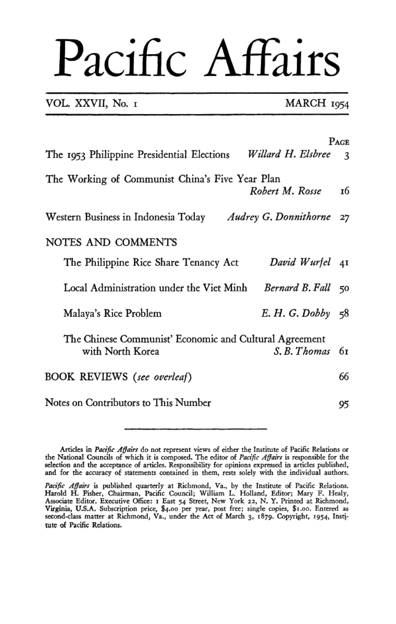VOL. XXVII, No. I

MARCH 1954

|                                                                            |                    | Page           |
|----------------------------------------------------------------------------|--------------------|----------------|
| The 1953 Philippine Presidential Elections Willard H. Elsbree              |                    | $\overline{3}$ |
| The Working of Communist China's Five Year Plan                            | Robert M. Rosse    | 16             |
| Western Business in Indonesia Today Audrey G. Donnithorne                  |                    | 27             |
| NOTES AND COMMENTS                                                         |                    |                |
| The Philippine Rice Share Tenancy Act                                      | David Wurfel 41    |                |
| Local Administration under the Viet Minh                                   | Bernard B. Fall 50 |                |
| Malaya's Rice Problem                                                      | E. H. G. Dobby 58  |                |
| The Chinese Communist' Economic and Cultural Agreement<br>with North Korea | S. B. Thomas       | 61             |
| BOOK REVIEWS (see overleaf)                                                |                    | 66             |
| Notes on Contributors to This Number                                       |                    | 95             |

and for the accuracy of statements contained in them, rests solely with the individual authors.

Pacific Affairs is published quarterly at Richmond, Va., by the Institute of Pacific Relations. Harold H. Fisher, Chairman, Pacific Council; William L. Holland, Editor; Mary F. Healy, Associate Editor, Executive Office: 1 East 54 Street, New York 22, N.Y. Printed at Richmond, Virginia, U.S.A. Subscription price, \$4.00 per year, post free; single copies, \$1.00. Entered as second-class matter at Richmond, Va., under the Act of March 3, 1879. Copyright, 1954, Institute of Pacific Relations.

Articles in *Pacific Affairs* do not represent views of either the Institute of Pacific Relations or the National Councils of which it is composed. The editor of *Pacific Affairs* is responsible for the selection and the acceptance of articles. Responsibility for opinions expressed in articles published,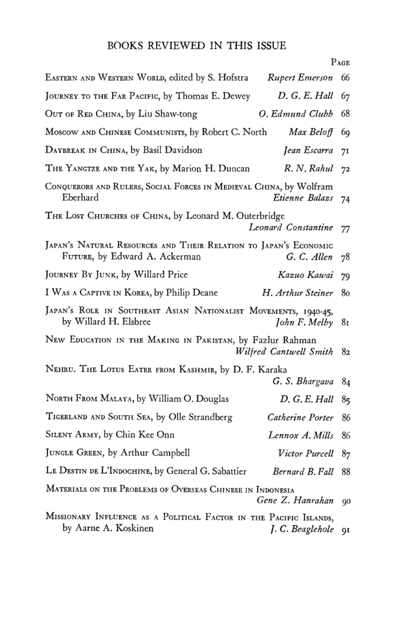$P_{AGE}$ 

| EASTERN AND WESTERN WORLD, edited by S. Hofstra<br>Rupert Emerson                                 |                        | 66 |
|---------------------------------------------------------------------------------------------------|------------------------|----|
| JOURNEY TO THE FAR PACIFIC, by Thomas E. Dewey<br>D. G. E. Hall                                   |                        | 67 |
| OUT OF RED CHINA, by Liu Shaw-tong                                                                | O. Edmund Clubb        | 68 |
| Moscow AND CHINESE COMMUNISTS, by Robert C. North                                                 | Max Beloff             | 69 |
| DAYBREAK IN CHINA, by Basil Davidson                                                              | Jean Escarra           | 71 |
| THE YANGTZE AND THE YAK, by Marion H. Duncan                                                      | $R. N.$ Rahul $72$     |    |
| CONQUERORS AND RULERS, SOCIAL FORCES IN MEDIEVAL CHINA, by Wolfram<br>Eberhard                    | Etienne Balazs 74      |    |
| THE LOST CHURCHES OF CHINA, by Leonard M. Outerbridge                                             | Leonard Constantine 77 |    |
| JAPAN'S NATURAL RESOURCES AND THEIR RELATION TO JAPAN'S ECONOMIC<br>FUTURE, by Edward A. Ackerman | G. C. Allen $78$       |    |
| JOURNEY BY JUNK, by Willard Price                                                                 | Kazuo Kawai 79         |    |
| I WAS A CAPTIVE IN KOREA, by Philip Deane                                                         | H. Arthur Steiner      | 80 |
| JAPAN'S ROLE IN SOUTHEAST ASIAN NATIONALIST MOVEMENTS, 1940-45,<br>by Willard H. Elsbree          | John F. Melby 81       |    |
| New EDUCATION IN THE MAKING IN PAKISTAN, by Fazlur Rahman                                         | Wilfred Cantwell Smith | 82 |
| NEHRU. THE LOTUS EATER FROM KASHMIR, by D. F. Karaka                                              | G. S. Bhargava         | 84 |
| NORTH FROM MALAYA, by William O. Douglas                                                          | D. G. E. Hall          | 85 |
| TIGERLAND AND SOUTH SEA, by Olle Strandberg                                                       | Catherine Porter       | 86 |
| SILENT ARMY, by Chin Kee Onn                                                                      | Lennox A. Mills 86     |    |
| JUNGLE GREEN, by Arthur Campbell                                                                  | Victor Purcell 87      |    |
|                                                                                                   |                        |    |

LE DESTIN DE L'INDOCHINE, by General G. Sabattier Bernard B. Fall 88

# MATERIALS ON THE PROBLEMS OF OVERSEAS CHINESE IN INDONESIA Gene Z. Hanrahan 90

MISSIONARY INFLUENCE AS A POLITICAL FACTOR IN THE PACIFIC ISLANDS, by Aarne A. Koskinen J. C. Beaglehole 91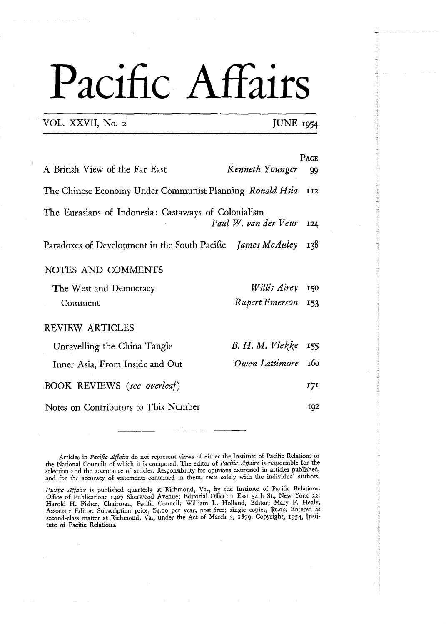VOL. XXVII, No. 2 **JUNE** 1954

| A British View of the Far East                                               | Kenneth Younger         | PAGE<br>99 |
|------------------------------------------------------------------------------|-------------------------|------------|
| The Chinese Economy Under Communist Planning Ronald Hsia                     |                         | <b>II2</b> |
| The Eurasians of Indonesia: Castaways of Colonialism<br>Paul W. van der Veur |                         | 124        |
| Paradoxes of Development in the South Pacific James McAuley                  |                         | 138        |
| NOTES AND COMMENTS                                                           |                         |            |
| The West and Democracy                                                       | <i>Willis Airey</i> 150 |            |
| Comment                                                                      | Rupert Emerson 153      |            |
| <b>REVIEW ARTICLES</b>                                                       |                         |            |
| Unravelling the China Tangle                                                 | B. H. M. Vlekke         | 155        |
| Inner Asia, From Inside and Out                                              | Owen Lattimore          | 160        |
| <b>BOOK REVIEWS</b> (see overleaf)                                           |                         | 171        |
| Notes on Contributors to This Number                                         |                         | 192        |

Articles in *Pacific Affairs* do not represent views of either the Institute of Pacific Relations or the National Councils of which it is composed. The editor of *Pacific Affairs* is responsible for the selection and the acceptance of articles. Responsibility for opinions expressed in articles published, and for the accuracy of statements contained in them, rests solely with the individual authors.

*Pacific Affairs* is published quarterly at Richmond, Va., by the Institute of Pacific Relations. Office of Publication: 1407 Sherwood Avenue; Editorial Office: 1 East 54th St., New York 22.<br>Harold H. Fisher, Chairman, Pacific Council; William L. Holland, Editor; Mary F. Healy,<br>Associate Editor. Subscription price, \$4. second-class matter at Richmond, Va., under the Act of March **3,** 1879. Copyright, **1054,** 1n.st.i-**Lute** of Pacific Relations.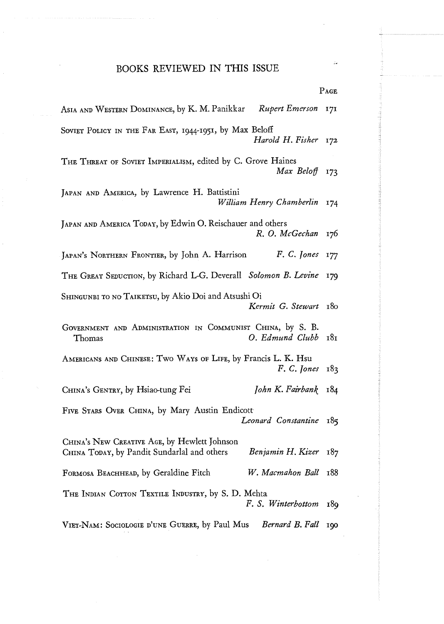|                                                                                                                  | r age |
|------------------------------------------------------------------------------------------------------------------|-------|
| Rupert Emerson<br>ASIA AND WESTERN DOMINANCE, by K. M. Panikkar                                                  | 171   |
| SOVIET POLICY IN THE FAR EAST, 1944-1951, by Max Beloff<br>Harold H. Fisher                                      | 172   |
| THE THREAT OF SOVIET IMPERIALISM, edited by C. Grove Haines<br>Max Beloff                                        | 173   |
| JAPAN AND AMERICA, by Lawrence H. Battistini<br>William Henry Chamberlin                                         | 174   |
| JAPAN AND AMERICA TODAY, by Edwin O. Reischauer and others<br>R. O. McGechan                                     | 176.  |
| JAPAN'S NORTHERN FRONTIER, by John A. Harrison<br>F. C. Jones                                                    | 177   |
| THE GREAT SEDUCTION, by Richard L-G. Deverall Solomon B. Levine                                                  | 179   |
| SHINGUNBI TO NO TAIKETSU, by Akio Doi and Atsushi Oi<br>Kermit G. Stewart                                        | 180   |
| GOVERNMENT AND ADMINISTRATION IN COMMUNIST CHINA, by S. B.<br>O. Edmund Clubb<br>Thomas                          | 181   |
| AMERICANS AND CHINESE: TWO WAYS OF LIFE, by Francis L. K. Hsu<br>F. C. Jones                                     | 183   |
| John K. Fairbank<br>CHINA's GENTRY, by Hsiao-tung Fei                                                            | 184   |
| FIVE STARS OVER CHINA, by Mary Austin Endicott<br>Leonard Constantine                                            | 185   |
| CHINA's NEW CREATIVE AGE, by Hewlett Johnson<br>CHINA TODAY, by Pandit Sundarlal and others<br>Benjamin H. Kizer | 187   |
| W. Macmahon Ball<br>FORMOSA BEACHHEAD, by Geraldine Fitch                                                        | 188   |
| THE INDIAN COTTON TEXTILE INDUSTRY, by S. D. Mehta<br>F. S. Winterbottom                                         | 189   |
| VIET-NAM: SOCIOLOGIE D'UNE GUERRE, by Paul Mus<br>Bernard B. Fall                                                | 100   |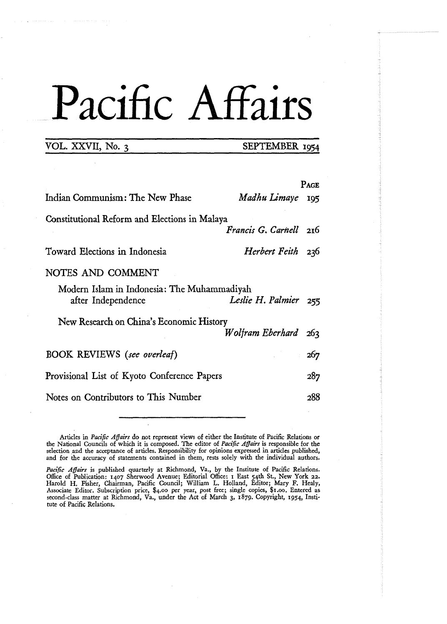## VOL. XXVII, No. 3 **SEPTEMBER** 1954

|                                               |                        | Page |
|-----------------------------------------------|------------------------|------|
| Indian Communism: The New Phase               | Madhu Limaye           | 195  |
| Constitutional Reform and Elections in Malaya |                        |      |
|                                               | Francis G. Carnell 216 |      |
| Toward Elections in Indonesia                 | Herbert Feith 236      |      |
| NOTES AND COMMENT                             |                        |      |
| Modern Islam in Indonesia: The Muhammadiyah   |                        |      |
| after Independence                            | Leslie H. Palmier 255  |      |
| New Research on China's Economic History      |                        |      |
|                                               | Wolfram Eberhard 263   |      |
| <b>BOOK REVIEWS</b> (see overleaf)            |                        | 267  |
| Provisional List of Kyoto Conference Papers   |                        | 287  |
| Notes on Contributors to This Number          |                        | ว88  |

Articles in *Pact'ftc Affairs* do not represent views of either the Institute of Pacific Relations or the National Councils of which it is composed. The editor of *Pact'fic Affairs* is responsible for the selection and the acceptance of articles. Responsibility for opinions expressed in articles published, and for the accuracy of statements contained in them, rests solely with the individual authors.

*Pactjic Affairs* is published quarterly at Richmond, Va., by the Institute of Pacific Relations. Office of Publication: 1407 Sherwood Avenue; Editorial Office: I East 54th St., New **York** 22. Harold H. Fisher, Chairman, Pacific Council; William L. Holland, Editor; Mary F. Healy, Associate Editor. Subscription price, \$4.00 per year, post free; single copies, \$1.00. Entered as second-class matter at Richmond, Va., under the **Act of** March 3, 1879. Copyright, **1954,** Institute of Pacific Relations.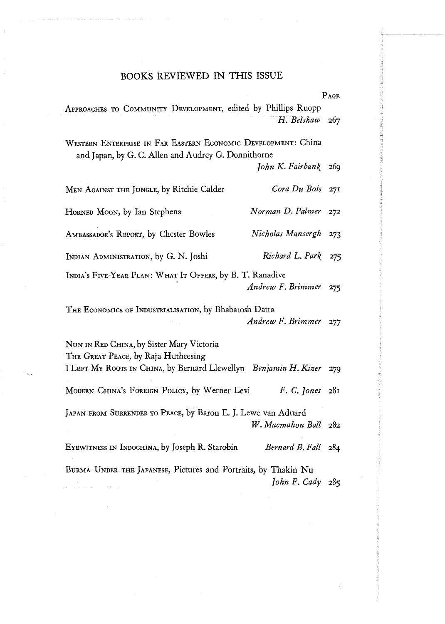PAGE

| APPROACHES TO COMMUNITY DEVELOPMENT, edited by Phillips Ruopp<br>H. Belshaw                                          | 267 |
|----------------------------------------------------------------------------------------------------------------------|-----|
|                                                                                                                      |     |
| WESTERN ENTERPRISE IN FAR EASTERN ECONOMIC DEVELOPMENT: China<br>and Japan, by G. C. Allen and Audrey G. Donnithorne |     |
| John K. Fairbank                                                                                                     | 269 |
| Cora Du Bois<br>MEN AGAINST THE JUNGLE, by Ritchie Calder                                                            | 27I |
| Norman D. Palmer<br>HORNED MOON, by Ian Stephens                                                                     | 272 |
| Nicholas Mansergh<br>AMBASSADOR'S REPORT, by Chester Bowles                                                          | 273 |
| Richard L. Park<br>INDIAN ADMINISTRATION, by G. N. Joshi                                                             | 275 |
| INDIA's FIVE-YEAR PLAN: WHAT IT OFFERS, by B. T. Ranadive                                                            |     |
| Andrew F. Brimmer                                                                                                    | 275 |
| THE ECONOMICS OF INDUSTRIALISATION, by Bhabatosh Datta                                                               |     |
| Andrew F. Brimmer                                                                                                    | 277 |
| NUN IN RED CHINA, by Sister Mary Victoria<br>THE GREAT PEACE, by Raja Hutheesing                                     |     |
| I LEFT MY ROOTS IN CHINA, by Bernard Llewellyn Benjamin H. Kizer                                                     | 279 |
| MODERN CHINA's FOREIGN POLICY, by Werner Levi<br>F. C. Jones                                                         | 281 |
| JAPAN FROM SURRENDER TO PEACE, by Baron E. J. Lewe van Aduard                                                        |     |
| W. Macmahon Ball                                                                                                     | 282 |
| EYEWITNESS IN INDOCHINA, by Joseph R. Starobin<br>Bernard B. Fall                                                    | 284 |
| BURMA UNDER THE JAPANESE, Pictures and Portraits, by Thakin Nu<br>John F. Cady                                       | 285 |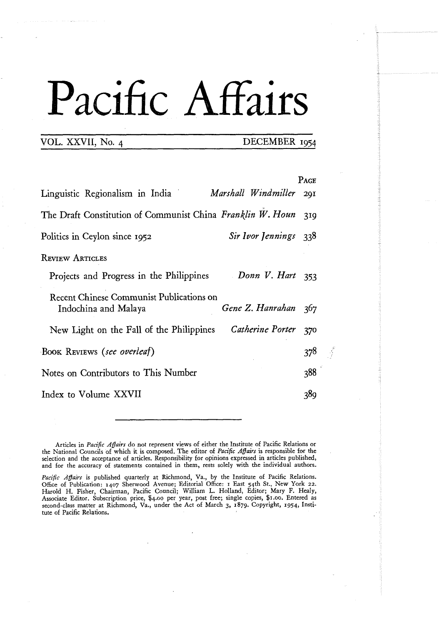### VOL. XXVII, No. 4 DECEMBER **1954**

|                                                                         |                       | Pace |
|-------------------------------------------------------------------------|-----------------------|------|
| Linguistic Regionalism in India                                         | Marshall Windmiller   | 201  |
| The Draft Constitution of Communist China Franklin W. Houn              |                       | 319  |
| Politics in Ceylon since 1952                                           | Sir Ivor Jennings 338 |      |
| <b>REVIEW ARTICLES</b>                                                  |                       |      |
| Projects and Progress in the Philippines Donn V. Hart 353               |                       |      |
| <b>Recent Chinese Communist Publications on</b><br>Indochina and Malaya | Gene Z. Hanrahan 367  |      |
| New Light on the Fall of the Philippines Catherine Porter 370           |                       |      |
| Book Reviews (see overleaf)                                             |                       | 378  |
| Notes on Contributors to This Number                                    |                       | 388  |
| Index to Volume XXVII                                                   |                       | 389  |
|                                                                         |                       |      |

Articles in *Pacific Affairs* do not represent views of either the Institute of Pacific Relations or the National Councils of which it is composed. The editor of *Pacific* **Affairs** is responsible for the selection and the acceptance of articles. Responsibility for opinions expressed in articles published, and for the accuracy of statements contained in them, rests solely with the individual authors.

*Pacific Affairs* is published quarterly at Richmond, Va., by the Institute of Pacific Relations. Office of Publication: 1407 Sherwood Avenue; Editorial Office: I East 54th St., New York 22. Harold H. Fisher, Chairman, Pacific Council; William L. Holland, Editor; Mary F. Healy, Associate Editor. Subscription price, \$4.00 per year, post free; single copies, \$1.00. Entered as second-class matter at Richmond, Va., under the Act of March **3, 1879.** Copyright, 1954, Institute of Pacific Relations.